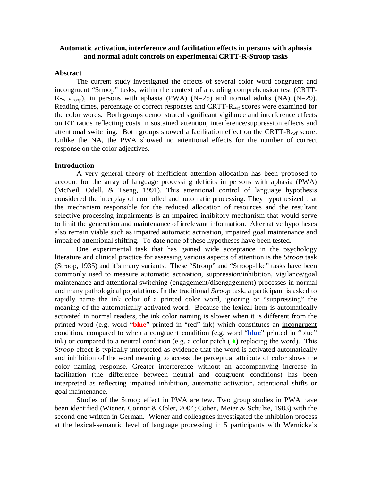## **Automatic activation, interference and facilitation effects in persons with aphasia and normal adult controls on experimental CRTT-R-Stroop tasks**

#### **Abstract**

The current study investigated the effects of several color word congruent and incongruent "Stroop" tasks, within the context of a reading comprehension test (CRTT- $R_{\text{wf-Stroop}}$ , in persons with aphasia (PWA) (N=25) and normal adults (NA) (N=29). Reading times, percentage of correct responses and CRTT-R-wf scores were examined for the color words. Both groups demonstrated significant vigilance and interference effects on RT ratios reflecting costs in sustained attention, interference/suppression effects and attentional switching. Both groups showed a facilitation effect on the CRTT-R-wf score. Unlike the NA, the PWA showed no attentional effects for the number of correct response on the color adjectives.

#### **Introduction**

A very general theory of inefficient attention allocation has been proposed to account for the array of language processing deficits in persons with aphasia (PWA) (McNeil, Odell, & Tseng, 1991). This attentional control of language hypothesis considered the interplay of controlled and automatic processing. They hypothesized that the mechanism responsible for the reduced allocation of resources and the resultant selective processing impairments is an impaired inhibitory mechanism that would serve to limit the generation and maintenance of irrelevant information. Alternative hypotheses also remain viable such as impaired automatic activation, impaired goal maintenance and impaired attentional shifting. To date none of these hypotheses have been tested.

One experimental task that has gained wide acceptance in the psychology literature and clinical practice for assessing various aspects of attention is the *Stroop* task (Stroop, 1935) and it's many variants. These "Stroop" and "Stroop-like" tasks have been commonly used to measure automatic activation, suppression/inhibition, vigilance/goal maintenance and attentional switching (engagement/disengagement) processes in normal and many pathological populations. In the traditional *Stroop* task, a participant is asked to rapidly name the ink color of a printed color word, ignoring or "suppressing" the meaning of the automatically activated word. Because the lexical item is automatically activated in normal readers, the ink color naming is slower when it is different from the printed word (e.g. word "**blue**" printed in "red" ink) which constitutes an incongruent condition, compared to when a congruent condition (e.g. word "**blue**" printed in "blue" ink) or compared to a neutral condition (e.g. a color patch  $(\bullet)$  replacing the word). This *Stroop* effect is typically interpreted as evidence that the word is activated automatically and inhibition of the word meaning to access the perceptual attribute of color slows the color naming response. Greater interference without an accompanying increase in facilitation (the difference between neutral and congruent conditions) has been interpreted as reflecting impaired inhibition, automatic activation, attentional shifts or goal maintenance.

Studies of the Stroop effect in PWA are few. Two group studies in PWA have been identified (Wiener, Connor & Obler, 2004; Cohen, Meier & Schulze, 1983) with the second one written in German. Wiener and colleagues investigated the inhibition process at the lexical-semantic level of language processing in 5 participants with Wernicke's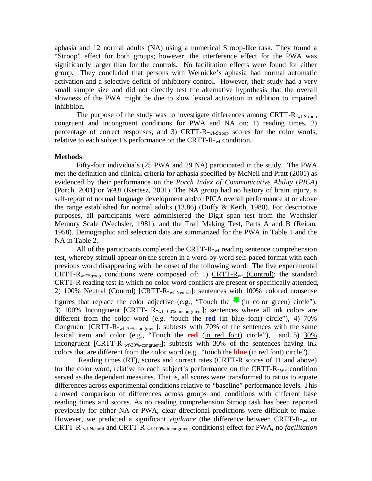aphasia and 12 normal adults (NA) using a numerical Stroop-like task. They found a "Stroop" effect for both groups; however, the interference effect for the PWA was significantly larger than for the controls. No facilitation effects were found for either group. They concluded that persons with Wernicke's aphasia had normal automatic activation and a selective deficit of inhibitory control. However, their study had a very small sample size and did not directly test the alternative hypothesis that the overall slowness of the PWA might be due to slow lexical activation in addition to impaired inhibition.

The purpose of the study was to investigate differences among CRTT-R<sub>-wf-Stroop</sub> congruent and incongruent conditions for PWA and NA on: 1) reading times, 2) percentage of correct responses, and 3) CRTT-R-wf-Stroop scores for the color words, relative to each subject's performance on the CRTT-R-wf condition.

#### **Methods**

Fifty-four individuals (25 PWA and 29 NA) participated in the study. The PWA met the definition and clinical criteria for aphasia specified by McNeil and Pratt (2001) as evidenced by their performance on the *Porch Index of Communicative Ability* (*PICA*) (Porch, 2001) or *WAB* (Kertesz, 2001). The NA group had no history of brain injury, a self-report of normal language development and/or PICA overall performance at or above the range established for normal adults (13.86) (Duffy & Keith, 1980). For descriptive purposes, all participants were administered the Digit span test from the Wechsler Memory Scale (Wechsler, 1981), and the Trail Making Test, Parts A and B (Reitan, 1958). Demographic and selection data are summarized for the PWA in Table 1 and the NA in Table 2.

All of the participants completed the CRTT- $R_{\text{wf}}$  reading sentence comprehension test, whereby stimuli appear on the screen in a word-by-word self-paced format with each previous word disappearing with the onset of the following word. The five experimental CRTT-R<sub>wf</sub>-Stroop conditions were composed of: 1) CRTT-R<sub>wf</sub> (Control); the standard CRTT-R reading test in which no color word conflicts are present or specifically attended, 2) 100% Neutral (Control) [CRTT-R-<sub>wf-Neutral</sub>]: sentences with 100% colored nonsense figures that replace the color adjective (e.g., "Touch the  $\bullet$  (in color green) circle"), 3) 100% Incongruent [CRTT-R-wf-100% incongruent]: sentences where all ink colors are different from the color word (e.g. "touch the **red** (in blue font) circle"), 4) 70% Congruent [CRTT-R-wf-70%-congruent]: subtests with 70% of the sentences with the same lexical item and color (e.g., "Touch the **red** (in red font) circle"), and 5) 30% Incongruent [CRTT-R-wf-30%-congruent]: subtests with 30% of the sentences having ink colors that are different from the color word (e.g., "touch the **blue** (in red font ) circle").

Reading times (RT), scores and correct rates (CRTT-R scores of 11 and above) for the color word, relative to each subject's performance on the CRTT-R- $_{\text{WF}}$  condition served as the dependent measures. That is, all scores were transformed to ratios to equate differences across experimental conditions relative to "baseline" performance levels. This allowed comparison of differences across groups and conditions with different base reading times and scores. As no reading comprehension Stroop task has been reported previously for either NA or PWA, clear directional predictions were difficult to make. However, we predicted a significant *vigilance* (the difference between CRTT-R-wf or CRTT-R-wf-Neutral and CRTT-R-wf-100%-incongruent conditions) effect for PWA, no *facilitation*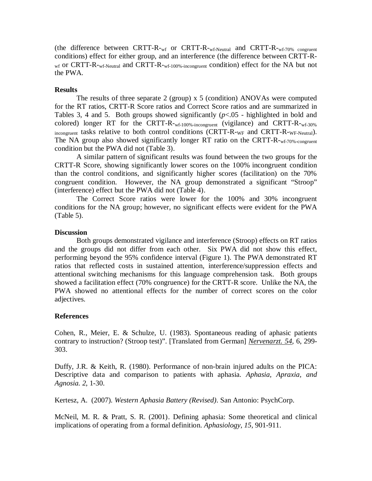(the difference between CRTT-R- $_{\rm wf}$  or CRTT-R- $_{\rm wf-Neutral}$  and CRTT-R- $_{\rm wf-70\%}$  congruent conditions) effect for either group, and an interference (the difference between CRTT-R- $_{\rm wf}$  or CRTT-R- $_{\rm wf-Neutral}$  and CRTT-R- $_{\rm wf-100\%-incongruent}$  condition) effect for the NA but not the PWA.

## **Results**

The results of three separate 2 (group) x 5 (condition) ANOVAs were computed for the RT ratios, CRTT-R Score ratios and Correct Score ratios and are summarized in Tables 3, 4 and 5. Both groups showed significantly  $(p<0.05$  - highlighted in bold and colored) longer RT for the CRTT-R- $w_f$ -100%-incongruent (vigilance) and CRTT-R- $w_f$ -30%  $\frac{1}{100}$  incongruent tasks relative to both control conditions (CRTT-R-WF and CRTT-R-WF-Neutral). The NA group also showed significantly longer RT ratio on the CRTT-R-wf-70%-congruent condition but the PWA did not (Table 3).

A similar pattern of significant results was found between the two groups for the CRTT-R Score, showing significantly lower scores on the 100% incongruent condition than the control conditions, and significantly higher scores (facilitation) on the 70% congruent condition. However, the NA group demonstrated a significant "Stroop" (interference) effect but the PWA did not (Table 4).

The Correct Score ratios were lower for the 100% and 30% incongruent conditions for the NA group; however, no significant effects were evident for the PWA (Table 5).

### **Discussion**

Both groups demonstrated vigilance and interference (Stroop) effects on RT ratios and the groups did not differ from each other. Six PWA did not show this effect, performing beyond the 95% confidence interval (Figure 1). The PWA demonstrated RT ratios that reflected costs in sustained attention, interference/suppression effects and attentional switching mechanisms for this language comprehension task. Both groups showed a facilitation effect (70% congruence) for the CRTT-R score. Unlike the NA, the PWA showed no attentional effects for the number of correct scores on the color adjectives.

# **References**

Cohen, R., Meier, E. & Schulze, U. (1983). Spontaneous reading of aphasic patients contrary to instruction? (Stroop test)". [Translated from German] *Nervenarzt. 54,* 6, 299- 303.

Duffy, J.R. & Keith, R. (1980). Performance of non-brain injured adults on the PICA: Descriptive data and comparison to patients with aphasia. *Aphasia, Apraxia, and Agnosia. 2*, 1-30.

Kertesz, A. (2007). *Western Aphasia Battery (Revised)*. San Antonio: PsychCorp.

McNeil, M. R. & Pratt, S. R. (2001). Defining aphasia: Some theoretical and clinical implications of operating from a formal definition. *Aphasiology, 15,* 901-911.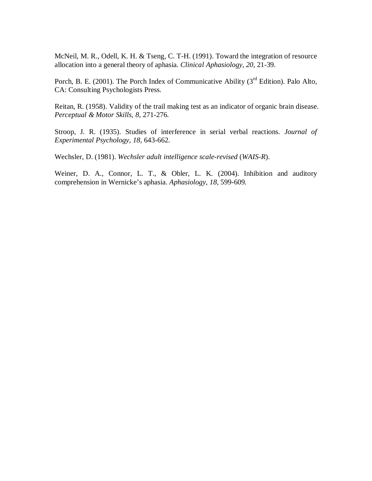McNeil, M. R., Odell, K. H. & Tseng, C. T-H. (1991). Toward the integration of resource allocation into a general theory of aphasia. *Clinical Aphasiology, 20,* 21-39.

Porch, B. E. (2001). The Porch Index of Communicative Ability ( $3<sup>rd</sup>$  Edition). Palo Alto, CA: Consulting Psychologists Press.

Reitan, R. (1958). Validity of the trail making test as an indicator of organic brain disease. *Perceptual & Motor Skills, 8,* 271-276.

Stroop, J. R. (1935). Studies of interference in serial verbal reactions. *Journal of Experimental Psychology, 18,* 643-662.

Wechsler, D. (1981). *Wechsler adult intelligence scale-revised* (*WAIS-R*).

Weiner, D. A., Connor, L. T., & Obler, L. K. (2004). Inhibition and auditory comprehension in Wernicke's aphasia. *Aphasiology, 18,* 599-609.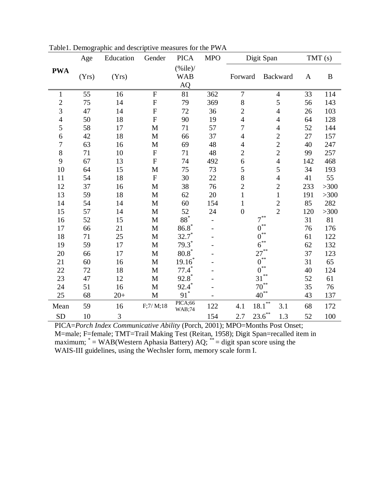|                | Age   | Education | Gender         | <b>PICA</b>                            | <b>MPO</b> | Digit Span       |                              | TMT (s) |          |
|----------------|-------|-----------|----------------|----------------------------------------|------------|------------------|------------------------------|---------|----------|
| <b>PWA</b>     | (Yrs) | (Yrs)     |                | $(\%$ ile)/<br><b>WAB</b><br><b>AQ</b> |            | Forward          | Backward                     | A       | $\bf{B}$ |
| 1              | 55    | 16        | $\mathbf F$    | 81                                     | 362        | $\tau$           | $\overline{4}$               | 33      | 114      |
| $\overline{c}$ | 75    | 14        | $\mathbf F$    | 79                                     | 369        | $8\,$            | 5                            | 56      | 143      |
| 3              | 47    | 14        | $\mathbf F$    | 72                                     | 36         | $\overline{c}$   | $\overline{\mathcal{L}}$     | 26      | 103      |
| $\overline{4}$ | 50    | 18        | $\overline{F}$ | 90                                     | 19         | $\overline{4}$   | $\overline{4}$               | 64      | 128      |
| 5              | 58    | 17        | $\mathbf M$    | 71                                     | 57         | $\overline{7}$   | $\overline{4}$               | 52      | 144      |
| 6              | 42    | 18        | $\mathbf M$    | 66                                     | 37         | $\overline{4}$   | $\overline{c}$               | 27      | 157      |
| 7              | 63    | 16        | $\mathbf M$    | 69                                     | 48         | $\overline{4}$   | $\overline{2}$               | 40      | 247      |
| 8              | 71    | 10        | ${\bf F}$      | 71                                     | 48         | $\overline{c}$   | $\overline{c}$               | 99      | 257      |
| 9              | 67    | 13        | $\mathbf F$    | 74                                     | 492        | $\boldsymbol{6}$ | $\overline{4}$               | 142     | 468      |
| 10             | 64    | 15        | M              | 75                                     | 73         | 5                | 5                            | 34      | 193      |
| 11             | 54    | 18        | ${\bf F}$      | 30                                     | 22         | 8                | $\overline{4}$               | 41      | 55       |
| 12             | 37    | 16        | M              | 38                                     | 76         | $\overline{c}$   | $\overline{2}$               | 233     | >300     |
| 13             | 59    | 18        | $\mathbf M$    | 62                                     | 20         | $\mathbf{1}$     | $\mathbf{1}$                 | 191     | >300     |
| 14             | 54    | 14        | $\mathbf M$    | 60                                     | 154        | $\mathbf{1}$     | $\overline{c}$               | 85      | 282      |
| 15             | 57    | 14        | M              | 52                                     | 24         | $\overline{0}$   | $\overline{2}$               | 120     | >300     |
| 16             | 52    | 15        | $\mathbf M$    | $88^\ast$                              |            |                  | $7^{**}$                     | 31      | 81       |
| 17             | 66    | 21        | $\mathbf M$    | $86.8*$                                |            |                  | $0^{**}$                     | 76      | 176      |
| 18             | 71    | 25        | $\mathbf M$    | $32.7^*$                               |            |                  | $0^{**}$                     | 61      | 122      |
| 19             | 59    | 17        | $\mathbf M$    | $79.3*$                                |            |                  | $\approx$<br>$\overline{6}$  | 62      | 132      |
| 20             | 66    | 17        | M              | $80.8*$                                |            |                  | $27^{**}$                    | 37      | 123      |
| 21             | 60    | 16        | $\mathbf M$    | $19.16*$                               |            |                  | $0^{\ast\ast}$               | 31      | 65       |
| 22             | 72    | 18        | $\mathbf M$    | $77.4*$                                |            |                  | $\ast\ast$<br>$\overline{0}$ | 40      | 124      |
| 23             | 47    | 12        | M              | $92.8^*$                               |            |                  | $**$<br>31                   | 52      | 61       |
| 24             | 51    | 16        | $\mathbf M$    | $92.4^*$                               |            |                  | $70^{**}$                    | 35      | 76       |
| 25             | 68    | $20+$     | $\mathbf M$    | $91^*$                                 |            |                  | $40^{**}$                    | 43      | 137      |
| Mean           | 59    | 16        | F;7/M;18       | PICA;66<br><b>WAB</b> ;74              | 122        | 4.1              | $18.1^{\ast\ast}$<br>3.1     | 68      | 172      |
| <b>SD</b>      | 10    | 3         |                |                                        | 154        | 2.7              | $23.6^{**}$<br>1.3           | 52      | 100      |

Table1. Demographic and descriptive measures for the PWA

PICA=*Porch Index Communicative Ability* (Porch, 2001); MPO=Months Post Onset; M=male; F=female; TMT=Trail Making Test (Reitan, 1958); Digit Span=recalled item in maximum;  $* = WAB(Western$  Aphasia Battery) AQ;  $* =$  digit span score using the WAIS-III guidelines, using the Wechsler form, memory scale form I.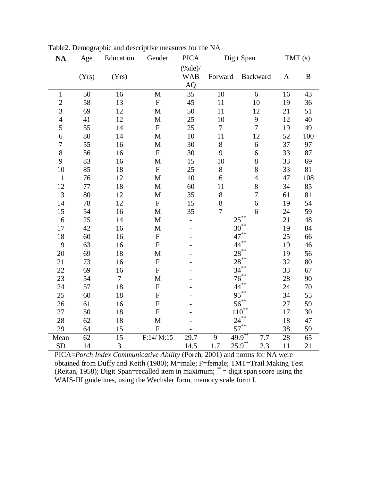| <b>NA</b>      | Age    | Education      | Gender       | <b>PICA</b>              |                | Digit Span               | TMT(s)          |          |
|----------------|--------|----------------|--------------|--------------------------|----------------|--------------------------|-----------------|----------|
|                |        |                |              | $(\%$ ile)/              |                |                          |                 |          |
|                | (Yrs)  | (Yrs)          |              | <b>WAB</b>               | Forward        | Backward                 | $\mathbf{A}$    | $\bf{B}$ |
|                |        |                |              | AQ                       |                |                          |                 |          |
| $\mathbf{1}$   | 50     | 16             | $\mathbf M$  | 35                       | 10             | 6                        | 16              | 43       |
| $\overline{c}$ | 58     | 13             | ${\bf F}$    | 45                       | 11             | 10                       | 19              | 36       |
| 3              | 69     | 12             | M            | 50                       | 11             | 12                       | 21              | 51       |
| 4              | 41     | 12             | $\mathbf M$  | 25                       | 10             | $\mathbf{9}$             | 12              | 40       |
| 5              | 55     | 14             | ${\bf F}$    | 25                       | $\tau$         | $\overline{7}$           | 19              | 49       |
| 6              | 80     | 14             | $\mathbf{M}$ | 10                       | 11             | 12                       | 52              | 100      |
| $\overline{7}$ | 55     | 16             | M            | 30                       | $8\,$          | 6                        | 37              | 97       |
| 8              | 56     | 16             | ${\bf F}$    | 30                       | 9              | 6                        | 33              | 87       |
| 9              | 83     | 16             | M            | 15                       | 10             | 8                        | 33              | 69       |
| 10             | 85     | 18             | ${\bf F}$    | 25                       | $8\,$          | 8                        | 33              | 81       |
| 11             | 76     | 12             | M            | 10                       | 6              | $\overline{4}$           | 47              | 108      |
| 12             | 77     | 18             | $\mathbf M$  | 60                       | 11             | 8                        | 34              | 85       |
| 13             | 80     | 12             | $\mathbf M$  | 35                       | 8              | $\overline{7}$           | 61              | 81       |
| 14             | $78\,$ | 12             | ${\bf F}$    | 15                       | 8              | 6                        | 19              | 54       |
| 15             | 54     | 16             | $\mathbf{M}$ | 35                       | $\overline{7}$ | 6                        | 24              | 59       |
| 16             | 25     | 14             | $\mathbf M$  | $\overline{\phantom{0}}$ |                | $25***$                  | 21              | 48       |
| 17             | 42     | 16             | $\mathbf M$  |                          |                | $30^{**}$                | 19              | 84       |
| 18             | 60     | 16             | ${\bf F}$    |                          |                | $47$ <sup>**</sup>       | 25              | 66       |
| 19             | 63     | 16             | $\mathbf F$  |                          |                | **<br>44                 | 19              | 46       |
| 20             | 69     | 18             | M            |                          |                | $28^{**}$                | 19              | 56       |
| 21             | 73     | 16             | ${\bf F}$    |                          |                | $28***$                  | 32              | 80       |
| 22             | 69     | 16             | ${\bf F}$    |                          |                | 34                       | 33              | 67       |
| 23             | 54     | $\overline{7}$ | M            |                          |                | $76^{**}$                | 28              | 90       |
| 24             | 57     | 18             | ${\bf F}$    |                          |                | $**$<br>44               | 24              | $70\,$   |
| 25             | 60     | 18             | $\mathbf F$  |                          |                | $95***$                  | 34              | 55       |
| 26             | 61     | 16             | $\mathbf F$  |                          |                | $56^{**}$                | 27              | 59       |
| 27             | 50     | 18             | $\mathbf F$  |                          |                | $**$<br>110 <sup>'</sup> | 17              | 30       |
| 28             | 62     | 18             | M            |                          |                | $24***$                  | 18              | 47       |
| 29             | 64     | 15             | ${\bf F}$    |                          |                | $57$ <sup>**</sup>       | 38              | 59       |
| Mean           | 62     | 15             | F;14/M;15    | 29.7                     | 9              | 49.9<br>7.7              | $\overline{28}$ | 65       |
| <b>SD</b>      | 14     | 3              |              | 14.5                     | 1.7            | $25.9***$<br>2.3         | 11              | 21       |

Table2. Demographic and descriptive measures for the NA

PICA=*Porch Index Communicative Ability* (Porch, 2001) and norms for NA were obtained from Duffy and Keith (1980); M=male; F=female; TMT=Trail Making Test (Reitan, 1958); Digit Span=recalled item in maximum; \*\* = digit span score using the WAIS-III guidelines, using the Wechsler form, memory scale form I.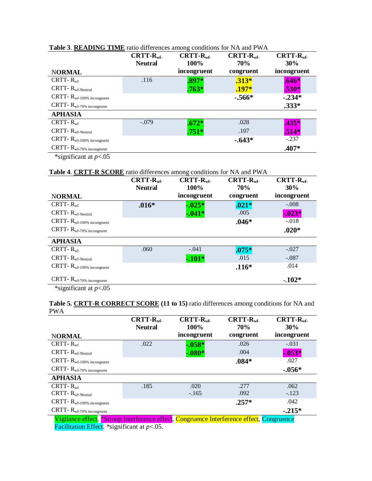|                                                | $CRTT-Rwf$ .<br><b>Neutral</b> | $CRTT-Rwf$ .<br>100% | $CRTT-Rwf$<br>70% | $CRTT-Rwf$ .<br>30% |
|------------------------------------------------|--------------------------------|----------------------|-------------------|---------------------|
| <b>NORMAL</b>                                  |                                | incongruent          | congruent         | incongruent         |
| CRTT- $R_{\rm wf}$                             | .116                           | $.897*$              | $.313*$           | $.646*$             |
| $CRTT - Rwf-Neutral$                           |                                | $.763*$              | $.197*$           | $.530*$             |
| $CRTT$ - $R_{\rm wf\text{-}100\%}$ incongruent |                                |                      | $-.566*$          | $-.234*$            |
| $CRTT$ - $R_{\rm wf\text{-}70\%}$ incongruent  |                                |                      |                   | $.333*$             |
| <b>APHASIA</b>                                 |                                |                      |                   |                     |
| CRTT- $R_{\rm wf}$                             | $-.079$                        | $.672*$              | .028              | $.435*$             |
| $CRTT - Rwf-Neutral$                           |                                | $.751*$              | .107              | $.514*$             |
| $CRTT$ - $R_{\rm wf\text{-}100\%}$ incongruent |                                |                      | $-.643*$          | $-.237$             |
| $CRTT$ - $R_{\rm wf\text{-}70\%}$ incongruent  |                                |                      |                   | $.407*$             |
| *significant at $p<0.05$                       |                                |                      |                   |                     |

## **Table 3**. **READING TIME** ratio differences among conditions for NA and PWA

**Table 4**. **CRTT-R SCORE** ratio differences among conditions for NA and PWA

|                                                | $CRTT-Rwf$ .   | $CRTT-Rwf$ . | $CRTT-Rwf$ | $CRTT-Rwf$ . |
|------------------------------------------------|----------------|--------------|------------|--------------|
|                                                | <b>Neutral</b> | 100%         | <b>70%</b> | 30%          |
| <b>NORMAL</b>                                  |                | incongruent  | congruent  | incongruent  |
| $CRTT - Rwf$                                   | $.016*$        | $-0.025*$    | $.021*$    | $-.008$      |
| $CRTT - Rwf-Neutral$                           |                | $-0.041*$    | .005       | $-0.023*$    |
| $CRTT$ - $R_{\rm wf\text{-}100\%}$ incongruent |                |              | $.046*$    | $-.018$      |
| $CRTT$ - $R_{\rm wf\text{-}70\%}$ incongruent  |                |              |            | $.020*$      |
| <b>APHASIA</b>                                 |                |              |            |              |
| CRTT- $R_{\rm wf}$                             | .060           | $-.041$      | $.075*$    | $-.027$      |
| $CRTT - Rwf-Neutral$                           |                | $-101*$      | .015       | $-.087$      |
| $CRTT$ - $R_{\rm wf\text{-}100\%}$ incongruent |                |              | $.116*$    | .014         |
| $CRTT$ - $R_{wf-70\%}$ incongruent             |                |              |            | $-102*$      |
| *significant at $p<0.05$                       |                |              |            |              |

**Table 5. CRTT-R CORRECT SCORE (11 to 15)** ratio differences among conditions for NA and PWA

|                                                                                                                                                                                                                                                                                                                                    | $CRTT-Rwf$ .<br><b>Neutral</b> | $CRTT-Rwf$ .<br>100%                  | $CRTT-Rwf$<br><b>70%</b> | $CRTT-Rwf$ .<br>30% |
|------------------------------------------------------------------------------------------------------------------------------------------------------------------------------------------------------------------------------------------------------------------------------------------------------------------------------------|--------------------------------|---------------------------------------|--------------------------|---------------------|
| <b>NORMAL</b>                                                                                                                                                                                                                                                                                                                      |                                | incongruent                           | congruent                | incongruent         |
| CRTT- $R_{\rm wf}$                                                                                                                                                                                                                                                                                                                 | .022                           | $-0.058*$                             | .026                     | $-.031$             |
| $CRTT - Rwf-Neutral$                                                                                                                                                                                                                                                                                                               |                                | $-.080*$                              | .004                     | $-0.053*$           |
| $CRTT$ - $R_{\rm wf\text{-}100\%}$ incongruent                                                                                                                                                                                                                                                                                     |                                |                                       | $.084*$                  | .027                |
| $CRTT$ - $R_{wf-70\%}$ incongruent                                                                                                                                                                                                                                                                                                 |                                |                                       |                          | $-.056*$            |
| <b>APHASIA</b>                                                                                                                                                                                                                                                                                                                     |                                |                                       |                          |                     |
| CRTT- $R_{\rm wf}$                                                                                                                                                                                                                                                                                                                 | .185                           | .020                                  | .277                     | .062                |
| $CRTT - Rwf-Neutral$                                                                                                                                                                                                                                                                                                               |                                | $-.165$                               | .092                     | $-.123$             |
| $CRTT$ - $R_{\rm wf\text{-}100\%}$ incongruent                                                                                                                                                                                                                                                                                     |                                |                                       | $.257*$                  | .042                |
| $CRTT$ - $R_{wf-70\%}$ incongruent                                                                                                                                                                                                                                                                                                 |                                |                                       |                          | $-.215*$            |
| $\mathbf{v}$ $\mathbf{v}$ $\mathbf{v}$ $\mathbf{v}$ $\mathbf{v}$ $\mathbf{v}$ $\mathbf{v}$ $\mathbf{v}$ $\mathbf{v}$ $\mathbf{v}$ $\mathbf{v}$ $\mathbf{v}$ $\mathbf{v}$ $\mathbf{v}$ $\mathbf{v}$ $\mathbf{v}$ $\mathbf{v}$ $\mathbf{v}$ $\mathbf{v}$ $\mathbf{v}$ $\mathbf{v}$ $\mathbf{v}$ $\mathbf{v}$ $\mathbf{v}$ $\mathbf{$ | cc.                            | $\sim$<br>$\mathbf{r}$ . $\mathbf{r}$ | $\mathbf{c}$<br>$\sim$   |                     |

Vigilance effect, "Stroop Interference effect, Congruence Interference effect, Congruence Facilitation Effect. \*significant at *p*<.05.